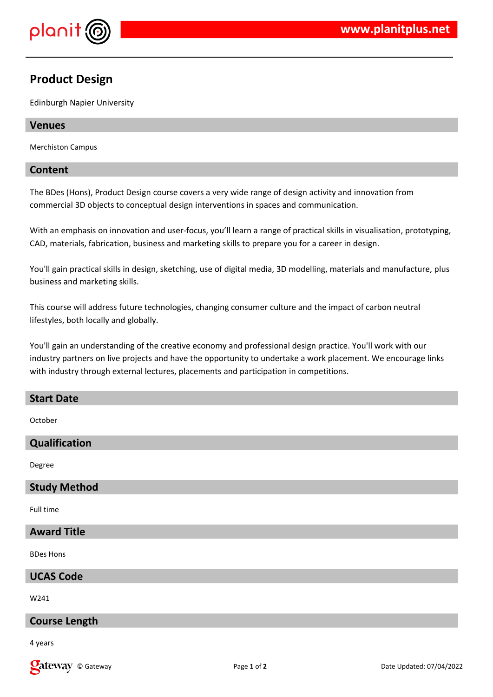

# **Product Design**

Edinburgh Napier University

#### **Venues**

Merchiston Campus

## **Content**

The BDes (Hons), Product Design course covers a very wide range of design activity and innovation from commercial 3D objects to conceptual design interventions in spaces and communication.

With an emphasis on innovation and user-focus, you'll learn a range of practical skills in visualisation, prototyping, CAD, materials, fabrication, business and marketing skills to prepare you for a career in design.

You'll gain practical skills in design, sketching, use of digital media, 3D modelling, materials and manufacture, plus business and marketing skills.

This course will address future technologies, changing consumer culture and the impact of carbon neutral lifestyles, both locally and globally.

You'll gain an understanding of the creative economy and professional design practice. You'll work with our industry partners on live projects and have the opportunity to undertake a work placement. We encourage links with industry through external lectures, placements and participation in competitions.

#### **Start Date**

October

# **Qualification**

Degree

#### **Study Method**

Full time

## **Award Title**

BDes Hons

#### **UCAS Code**

W241

#### **Course Length**

4 years